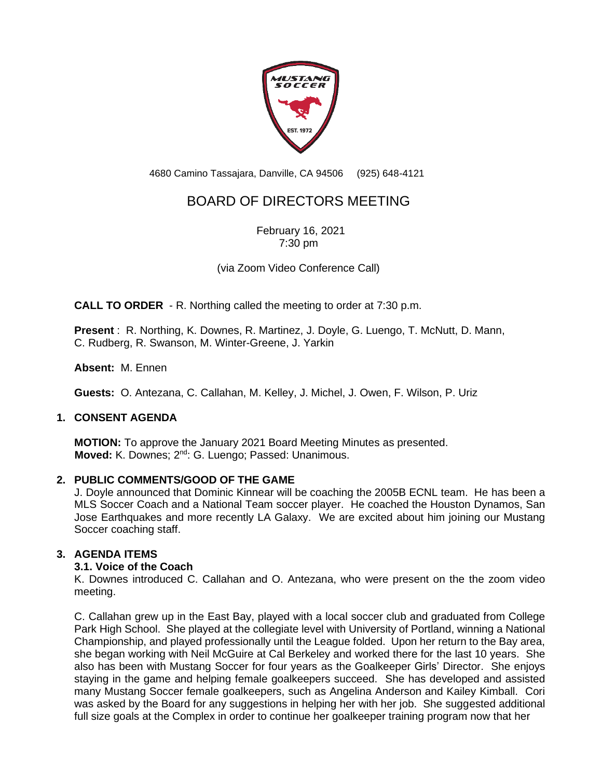

4680 Camino Tassajara, Danville, CA 94506 (925) 648-4121

# BOARD OF DIRECTORS MEETING

February 16, 2021 7:30 pm

(via Zoom Video Conference Call)

**CALL TO ORDER** - R. Northing called the meeting to order at 7:30 p.m.

**Present** : R. Northing, K. Downes, R. Martinez, J. Doyle, G. Luengo, T. McNutt, D. Mann, C. Rudberg, R. Swanson, M. Winter-Greene, J. Yarkin

**Absent:** M. Ennen

**Guests:** O. Antezana, C. Callahan, M. Kelley, J. Michel, J. Owen, F. Wilson, P. Uriz

# **1. CONSENT AGENDA**

**MOTION:** To approve the January 2021 Board Meeting Minutes as presented. **Moved:** K. Downes; 2<sup>nd</sup>: G. Luengo; Passed: Unanimous.

# **2. PUBLIC COMMENTS/GOOD OF THE GAME**

J. Doyle announced that Dominic Kinnear will be coaching the 2005B ECNL team. He has been a MLS Soccer Coach and a National Team soccer player. He coached the Houston Dynamos, San Jose Earthquakes and more recently LA Galaxy. We are excited about him joining our Mustang Soccer coaching staff.

# **3. AGENDA ITEMS**

# **3.1. Voice of the Coach**

K. Downes introduced C. Callahan and O. Antezana, who were present on the the zoom video meeting.

C. Callahan grew up in the East Bay, played with a local soccer club and graduated from College Park High School. She played at the collegiate level with University of Portland, winning a National Championship, and played professionally until the League folded. Upon her return to the Bay area, she began working with Neil McGuire at Cal Berkeley and worked there for the last 10 years. She also has been with Mustang Soccer for four years as the Goalkeeper Girls' Director. She enjoys staying in the game and helping female goalkeepers succeed. She has developed and assisted many Mustang Soccer female goalkeepers, such as Angelina Anderson and Kailey Kimball. Cori was asked by the Board for any suggestions in helping her with her job. She suggested additional full size goals at the Complex in order to continue her goalkeeper training program now that her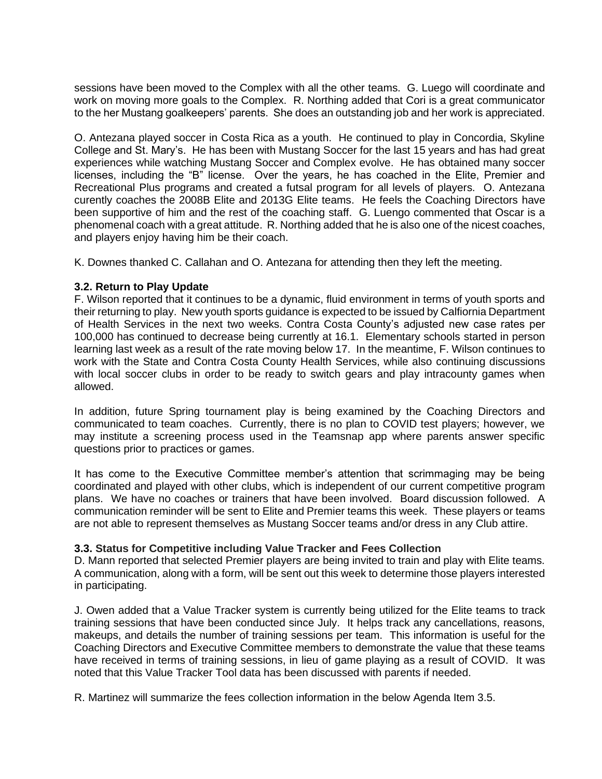sessions have been moved to the Complex with all the other teams. G. Luego will coordinate and work on moving more goals to the Complex. R. Northing added that Cori is a great communicator to the her Mustang goalkeepers' parents. She does an outstanding job and her work is appreciated.

O. Antezana played soccer in Costa Rica as a youth. He continued to play in Concordia, Skyline College and St. Mary's. He has been with Mustang Soccer for the last 15 years and has had great experiences while watching Mustang Soccer and Complex evolve. He has obtained many soccer licenses, including the "B" license. Over the years, he has coached in the Elite, Premier and Recreational Plus programs and created a futsal program for all levels of players. O. Antezana curently coaches the 2008B Elite and 2013G Elite teams. He feels the Coaching Directors have been supportive of him and the rest of the coaching staff. G. Luengo commented that Oscar is a phenomenal coach with a great attitude. R. Northing added that he is also one of the nicest coaches, and players enjoy having him be their coach.

K. Downes thanked C. Callahan and O. Antezana for attending then they left the meeting.

# **3.2. Return to Play Update**

F. Wilson reported that it continues to be a dynamic, fluid environment in terms of youth sports and their returning to play. New youth sports guidance is expected to be issued by Calfiornia Department of Health Services in the next two weeks. Contra Costa County's adjusted new case rates per 100,000 has continued to decrease being currently at 16.1. Elementary schools started in person learning last week as a result of the rate moving below 17. In the meantime, F. Wilson continues to work with the State and Contra Costa County Health Services, while also continuing discussions with local soccer clubs in order to be ready to switch gears and play intracounty games when allowed.

In addition, future Spring tournament play is being examined by the Coaching Directors and communicated to team coaches. Currently, there is no plan to COVID test players; however, we may institute a screening process used in the Teamsnap app where parents answer specific questions prior to practices or games.

It has come to the Executive Committee member's attention that scrimmaging may be being coordinated and played with other clubs, which is independent of our current competitive program plans. We have no coaches or trainers that have been involved. Board discussion followed. A communication reminder will be sent to Elite and Premier teams this week. These players or teams are not able to represent themselves as Mustang Soccer teams and/or dress in any Club attire.

#### **3.3. Status for Competitive including Value Tracker and Fees Collection**

D. Mann reported that selected Premier players are being invited to train and play with Elite teams. A communication, along with a form, will be sent out this week to determine those players interested in participating.

J. Owen added that a Value Tracker system is currently being utilized for the Elite teams to track training sessions that have been conducted since July. It helps track any cancellations, reasons, makeups, and details the number of training sessions per team. This information is useful for the Coaching Directors and Executive Committee members to demonstrate the value that these teams have received in terms of training sessions, in lieu of game playing as a result of COVID. It was noted that this Value Tracker Tool data has been discussed with parents if needed.

R. Martinez will summarize the fees collection information in the below Agenda Item 3.5.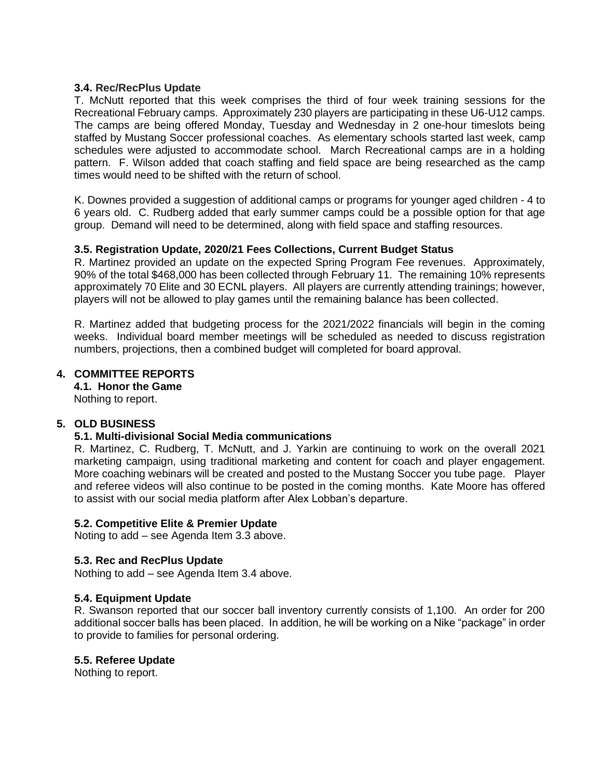## **3.4. Rec/RecPlus Update**

T. McNutt reported that this week comprises the third of four week training sessions for the Recreational February camps. Approximately 230 players are participating in these U6-U12 camps. The camps are being offered Monday, Tuesday and Wednesday in 2 one-hour timeslots being staffed by Mustang Soccer professional coaches. As elementary schools started last week, camp schedules were adjusted to accommodate school. March Recreational camps are in a holding pattern. F. Wilson added that coach staffing and field space are being researched as the camp times would need to be shifted with the return of school.

K. Downes provided a suggestion of additional camps or programs for younger aged children - 4 to 6 years old. C. Rudberg added that early summer camps could be a possible option for that age group. Demand will need to be determined, along with field space and staffing resources.

## **3.5. Registration Update, 2020/21 Fees Collections, Current Budget Status**

R. Martinez provided an update on the expected Spring Program Fee revenues. Approximately, 90% of the total \$468,000 has been collected through February 11. The remaining 10% represents approximately 70 Elite and 30 ECNL players. All players are currently attending trainings; however, players will not be allowed to play games until the remaining balance has been collected.

R. Martinez added that budgeting process for the 2021/2022 financials will begin in the coming weeks. Individual board member meetings will be scheduled as needed to discuss registration numbers, projections, then a combined budget will completed for board approval.

# **4. COMMITTEE REPORTS**

**4.1. Honor the Game** Nothing to report.

# **5. OLD BUSINESS**

#### **5.1. Multi-divisional Social Media communications**

R. Martinez, C. Rudberg, T. McNutt, and J. Yarkin are continuing to work on the overall 2021 marketing campaign, using traditional marketing and content for coach and player engagement. More coaching webinars will be created and posted to the Mustang Soccer you tube page. Player and referee videos will also continue to be posted in the coming months. Kate Moore has offered to assist with our social media platform after Alex Lobban's departure.

#### **5.2. Competitive Elite & Premier Update**

Noting to add – see Agenda Item 3.3 above.

#### **5.3. Rec and RecPlus Update**

Nothing to add – see Agenda Item 3.4 above.

#### **5.4. Equipment Update**

R. Swanson reported that our soccer ball inventory currently consists of 1,100. An order for 200 additional soccer balls has been placed. In addition, he will be working on a Nike "package" in order to provide to families for personal ordering.

#### **5.5. Referee Update**

Nothing to report.